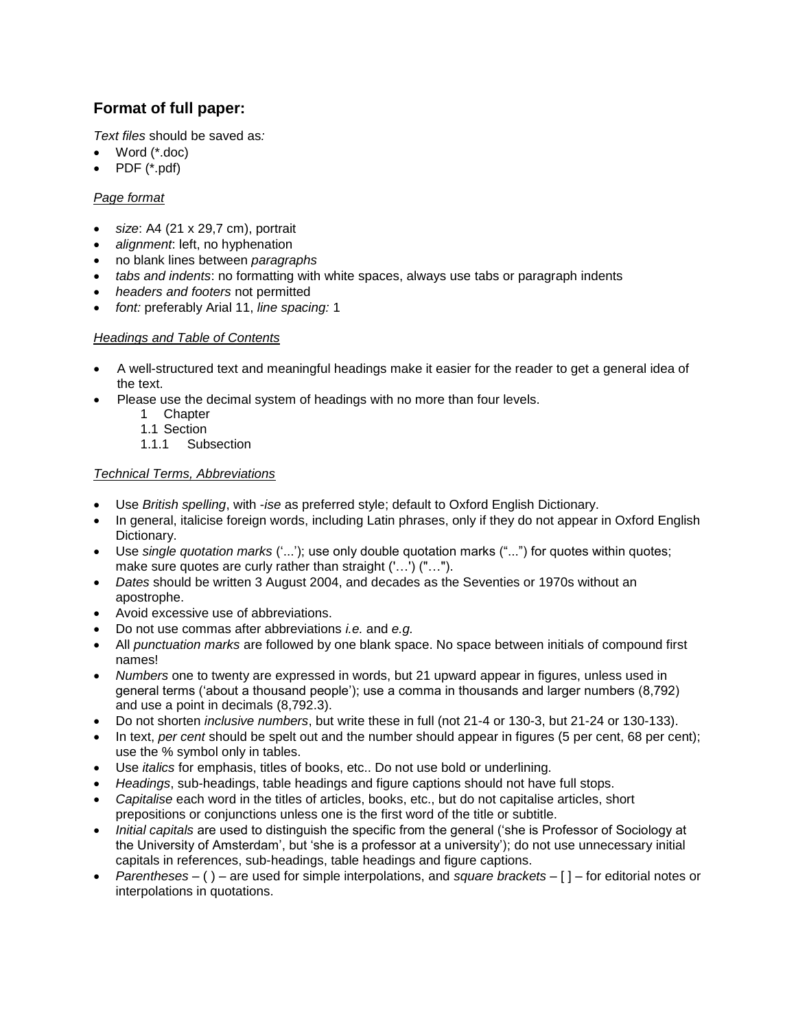# **Format of full paper:**

*Text files* should be saved as*:*

- Word (\*.doc)
- PDF (\*.pdf)

# *Page format*

- *size*: A4 (21 x 29,7 cm), portrait
- *alignment*: left, no hyphenation
- no blank lines between *paragraphs*
- *tabs and indents*: no formatting with white spaces, always use tabs or paragraph indents
- *headers and footers* not permitted
- *font:* preferably Arial 11, *line spacing:* 1

## *Headings and Table of Contents*

- A well-structured text and meaningful headings make it easier for the reader to get a general idea of the text.
- Please use the decimal system of headings with no more than four levels.
	- 1 Chapter
	- 1.1 Section
	- 1.1.1 Subsection

## *Technical Terms, Abbreviations*

- Use *British spelling*, with -*ise* as preferred style; default to Oxford English Dictionary.
- In general, italicise foreign words, including Latin phrases, only if they do not appear in Oxford English Dictionary.
- Use *single quotation marks* ("..."); use only double quotation marks ("...") for quotes within quotes; make sure quotes are curly rather than straight ('…') ("…").
- *Dates* should be written 3 August 2004, and decades as the Seventies or 1970s without an apostrophe.
- Avoid excessive use of abbreviations.
- Do not use commas after abbreviations *i.e.* and *e.g.*
- All *punctuation marks* are followed by one blank space. No space between initials of compound first names!
- *Numbers* one to twenty are expressed in words, but 21 upward appear in figures, unless used in general terms ("about a thousand people"); use a comma in thousands and larger numbers (8,792) and use a point in decimals (8,792.3).
- Do not shorten *inclusive numbers*, but write these in full (not 21-4 or 130-3, but 21-24 or 130-133).
- In text, *per cent* should be spelt out and the number should appear in figures (5 per cent, 68 per cent); use the % symbol only in tables.
- Use *italics* for emphasis, titles of books, etc.. Do not use bold or underlining.
- *Headings*, sub-headings, table headings and figure captions should not have full stops.
- *Capitalise* each word in the titles of articles, books, etc., but do not capitalise articles, short prepositions or conjunctions unless one is the first word of the title or subtitle.
- *Initial capitals* are used to distinguish the specific from the general ("she is Professor of Sociology at the University of Amsterdam", but "she is a professor at a university"); do not use unnecessary initial capitals in references, sub-headings, table headings and figure captions.
- *Parentheses* ( ) are used for simple interpolations, and *square brackets* [ ] for editorial notes or interpolations in quotations.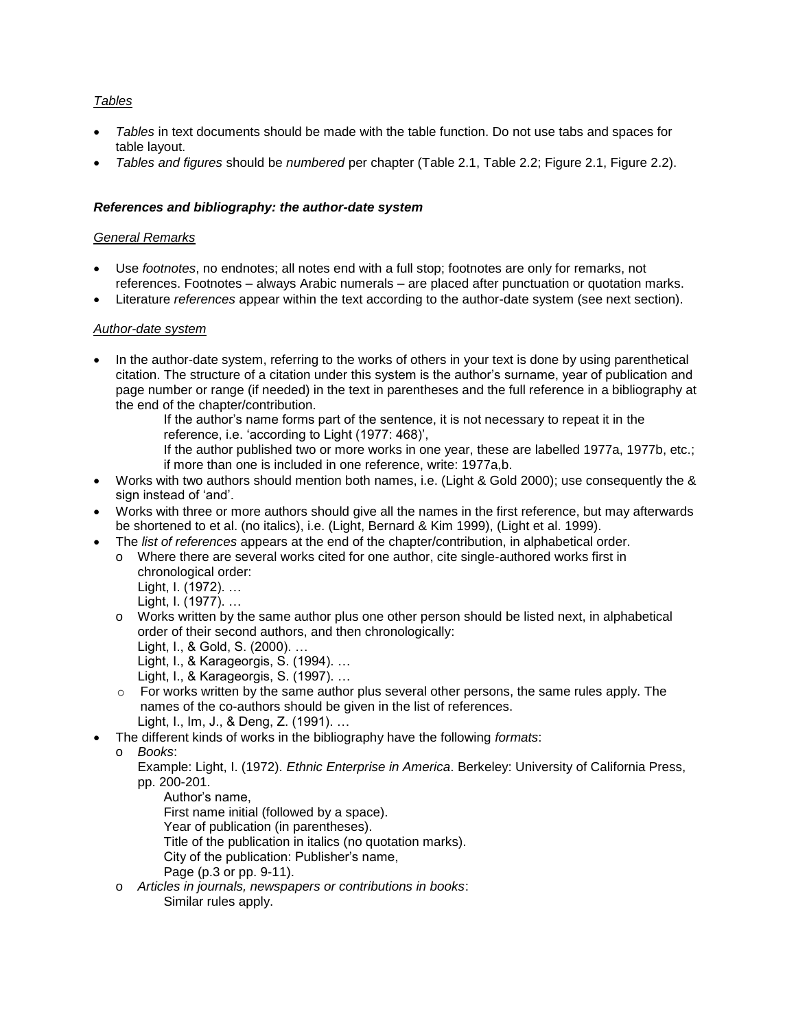# *Tables*

- *Tables* in text documents should be made with the table function. Do not use tabs and spaces for table layout.
- *Tables and figures* should be *numbered* per chapter (Table 2.1, Table 2.2; Figure 2.1, Figure 2.2).

## *References and bibliography: the author-date system*

#### *General Remarks*

- Use *footnotes*, no endnotes; all notes end with a full stop; footnotes are only for remarks, not references. Footnotes – always Arabic numerals – are placed after punctuation or quotation marks.
- Literature *references* appear within the text according to the author-date system (see next section).

#### *Author-date system*

- In the author-date system, referring to the works of others in your text is done by using parenthetical citation. The structure of a citation under this system is the author"s surname, year of publication and page number or range (if needed) in the text in parentheses and the full reference in a bibliography at the end of the chapter/contribution.
	- If the author"s name forms part of the sentence, it is not necessary to repeat it in the reference, i.e. "according to Light (1977: 468)",
	- If the author published two or more works in one year, these are labelled 1977a, 1977b, etc.; if more than one is included in one reference, write: 1977a,b.
- Works with two authors should mention both names, i.e. (Light & Gold 2000); use consequently the & sign instead of 'and'.
- Works with three or more authors should give all the names in the first reference, but may afterwards be shortened to et al. (no italics), i.e. (Light, Bernard & Kim 1999), (Light et al. 1999).
- The *list of references* appears at the end of the chapter/contribution, in alphabetical order.
	- o Where there are several works cited for one author, cite single-authored works first in chronological order: Light, I. (1972). …
		- Light, I. (1977). …
	- o Works written by the same author plus one other person should be listed next, in alphabetical order of their second authors, and then chronologically:
		- Light, I., & Gold, S. (2000). …
		- Light, I., & Karageorgis, S. (1994). …
		- Light, I., & Karageorgis, S. (1997). …
	- $\circ$  For works written by the same author plus several other persons, the same rules apply. The names of the co-authors should be given in the list of references. Light, I., Im, J., & Deng, Z. (1991). …
- The different kinds of works in the bibliography have the following *formats*:

- Example: Light, I. (1972). *Ethnic Enterprise in America*. Berkeley: University of California Press, pp. 200-201.
	- Author"s name, First name initial (followed by a space).
	- Year of publication (in parentheses).
	- Title of the publication in italics (no quotation marks).
	- City of the publication: Publisher"s name,
	- Page (p.3 or pp. 9-11).
- o *Articles in journals, newspapers or contributions in books*: Similar rules apply.

o *Books*: